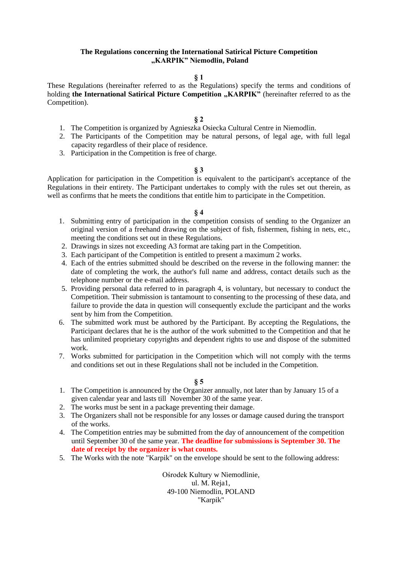# **The Regulations concerning the International Satirical Picture Competition "KARPIK" Niemodlin, Poland**

# **§ 1**

These Regulations (hereinafter referred to as the Regulations) specify the terms and conditions of holding the International Satirical Picture Competition "KARPIK" (hereinafter referred to as the Competition).

#### **§ 2**

- 1. The Competition is organized by Agnieszka Osiecka Cultural Centre in Niemodlin.
- 2. The Participants of the Competition may be natural persons, of legal age, with full legal capacity regardless of their place of residence.
- 3. Participation in the Competition is free of charge.

#### **§ 3**

Application for participation in the Competition is equivalent to the participant's acceptance of the Regulations in their entirety. The Participant undertakes to comply with the rules set out therein, as well as confirms that he meets the conditions that entitle him to participate in the Competition.

#### **§ 4**

- 1. Submitting entry of participation in the competition consists of sending to the Organizer an original version of a freehand drawing on the subject of fish, fishermen, fishing in nets, etc., meeting the conditions set out in these Regulations.
- 2. Drawings in sizes not exceeding A3 format are taking part in the Competition.
- 3. Each participant of the Competition is entitled to present a maximum 2 works.
- 4. Each of the entries submitted should be described on the reverse in the following manner: the date of completing the work, the author's full name and address, contact details such as the telephone number or the e-mail address.
- 5. Providing personal data referred to in paragraph 4, is voluntary, but necessary to conduct the Competition. Their submission is tantamount to consenting to the processing of these data, and failure to provide the data in question will consequently exclude the participant and the works sent by him from the Competition.
- 6. The submitted work must be authored by the Participant. By accepting the Regulations, the Participant declares that he is the author of the work submitted to the Competition and that he has unlimited proprietary copyrights and dependent rights to use and dispose of the submitted work.
- 7. Works submitted for participation in the Competition which will not comply with the terms and conditions set out in these Regulations shall not be included in the Competition.

#### **§ 5**

- 1. The Competition is announced by the Organizer annually, not later than by January 15 of a given calendar year and lasts till November 30 of the same year.
- 2. The works must be sent in a package preventing their damage.
- 3. The Organizers shall not be responsible for any losses or damage caused during the transport of the works.
- 4. The Competition entries may be submitted from the day of announcement of the competition until September 30 of the same year. **The deadline for submissions is September 30. The date of receipt by the organizer is what counts.**
- 5. The Works with the note "Karpik" on the envelope should be sent to the following address:

Ośrodek Kultury w Niemodlinie, ul. M. Reja1, 49-100 Niemodlin, POLAND "Karpik"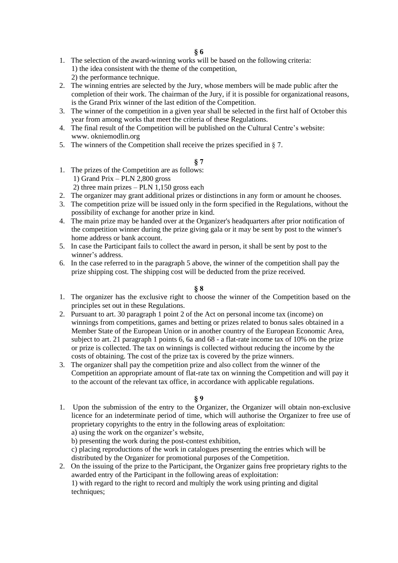# **§ 6**

- 1. The selection of the award-winning works will be based on the following criteria: 1) the idea consistent with the theme of the competition, 2) the performance technique.
- 2. The winning entries are selected by the Jury, whose members will be made public after the completion of their work. The chairman of the Jury, if it is possible for organizational reasons, is the Grand Prix winner of the last edition of the Competition.
- 3. The winner of the competition in a given year shall be selected in the first half of October this year from among works that meet the criteria of these Regulations.
- 4. The final result of the Competition will be published on the Cultural Centre's website: www. okniemodlin.org
- 5. The winners of the Competition shall receive the prizes specified in § 7.

# **§ 7**

- 1. The prizes of the Competition are as follows: 1) Grand Prix – PLN 2,800 gross 2) three main prizes – PLN  $1,150$  gross each
- 2. The organizer may grant additional prizes or distinctions in any form or amount he chooses.
- 3. The competition prize will be issued only in the form specified in the Regulations, without the possibility of exchange for another prize in kind.
- 4. The main prize may be handed over at the Organizer's headquarters after prior notification of the competition winner during the prize giving gala or it may be sent by post to the winner's home address or bank account.
- 5. In case the Participant fails to collect the award in person, it shall be sent by post to the winner's address.
- 6. In the case referred to in the paragraph 5 above, the winner of the competition shall pay the prize shipping cost. The shipping cost will be deducted from the prize received.

# **§ 8**

- 1. The organizer has the exclusive right to choose the winner of the Competition based on the principles set out in these Regulations.
- 2. Pursuant to art. 30 paragraph 1 point 2 of the Act on personal income tax (income) on winnings from competitions, games and betting or prizes related to bonus sales obtained in a Member State of the European Union or in another country of the European Economic Area, subject to art. 21 paragraph 1 points 6, 6a and 68 - a flat-rate income tax of 10% on the prize or prize is collected. The tax on winnings is collected without reducing the income by the costs of obtaining. The cost of the prize tax is covered by the prize winners.
- 3. The organizer shall pay the competition prize and also collect from the winner of the Competition an appropriate amount of flat-rate tax on winning the Competition and will pay it to the account of the relevant tax office, in accordance with applicable regulations.

# **§ 9**

1. Upon the submission of the entry to the Organizer, the Organizer will obtain non-exclusive licence for an indeterminate period of time, which will authorise the Organizer to free use of proprietary copyrights to the entry in the following areas of exploitation:

a) using the work on the organizer's website,

b) presenting the work during the post-contest exhibition,

c) placing reproductions of the work in catalogues presenting the entries which will be distributed by the Organizer for promotional purposes of the Competition.

2. On the issuing of the prize to the Participant, the Organizer gains free proprietary rights to the awarded entry of the Participant in the following areas of exploitation: 1) with regard to the right to record and multiply the work using printing and digital techniques;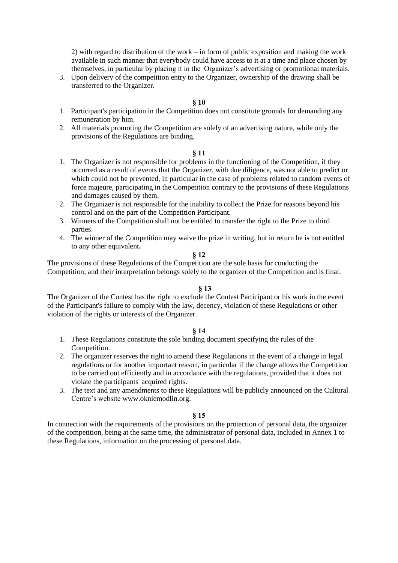2) with regard to distribution of the work – in form of public exposition and making the work available in such manner that everybody could have access to it at a time and place chosen by themselves, in particular by placing it in the Organizer's advertising or promotional materials.

3. Upon delivery of the competition entry to the Organizer, ownership of the drawing shall be transferred to the Organizer.

### **§ 10**

- 1. Participant's participation in the Competition does not constitute grounds for demanding any remuneration by him.
- 2. All materials promoting the Competition are solely of an advertising nature, while only the provisions of the Regulations are binding.

#### **§ 11**

- 1. The Organizer is not responsible for problems in the functioning of the Competition, if they occurred as a result of events that the Organizer, with due diligence, was not able to predict or which could not be prevented, in particular in the case of problems related to random events of force majeure, participating in the Competition contrary to the provisions of these Regulations and damages caused by them.
- 2. The Organizer is not responsible for the inability to collect the Prize for reasons beyond his control and on the part of the Competition Participant.
- 3. Winners of the Competition shall not be entitled to transfer the right to the Prize to third parties.
- 4. The winner of the Competition may waive the prize in writing, but in return he is not entitled to any other equivalent**.**

#### **§ 12**

The provisions of these Regulations of the Competition are the sole basis for conducting the Competition, and their interpretation belongs solely to the organizer of the Competition and is final.

### **§ 13**

The Organizer of the Contest has the right to exclude the Contest Participant or his work in the event of the Participant's failure to comply with the law, decency, violation of these Regulations or other violation of the rights or interests of the Organizer.

# **§ 14**

- 1. These Regulations constitute the sole binding document specifying the rules of the Competition.
- 2. The organizer reserves the right to amend these Regulations in the event of a change in legal regulations or for another important reason, in particular if the change allows the Competition to be carried out efficiently and in accordance with the regulations, provided that it does not violate the participants' acquired rights.
- 3. The text and any amendments to these Regulations will be publicly announced on the Cultural Centre's website www.okniemodlin.org.

#### **§ 15**

In connection with the requirements of the provisions on the protection of personal data, the organizer of the competition, being at the same time, the administrator of personal data, included in Annex 1 to these Regulations, information on the processing of personal data.